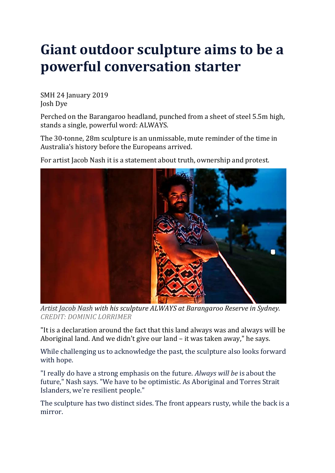## **Giant outdoor sculpture aims to be a powerful conversation starter**

SMH 24 January 2019 Josh Dye

Perched on the Barangaroo headland, punched from a sheet of steel 5.5m high, stands a single, powerful word: ALWAYS.

The 30-tonne, 28m sculpture is an unmissable, mute reminder of the time in Australia's history before the Europeans arrived.

For artist Jacob Nash it is a statement about truth, ownership and protest.



*Artist Jacob Nash with his sculpture ALWAYS at Barangaroo Reserve in Sydney. CREDIT: DOMINIC LORRIMER*

"It is a declaration around the fact that this land always was and always will be Aboriginal land. And we didn't give our land – it was taken away," he says.

While challenging us to acknowledge the past, the sculpture also looks forward with hope.

"I really do have a strong emphasis on the future. *Always will be* is about the future," Nash says. "We have to be optimistic. As Aboriginal and Torres Strait Islanders, we're resilient people."

The sculpture has two distinct sides. The front appears rusty, while the back is a mirror.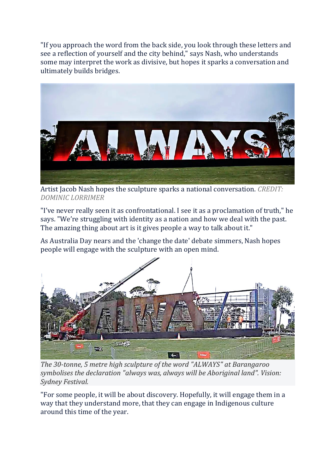"If you approach the word from the back side, you look through these letters and see a reflection of yourself and the city behind," says Nash, who understands some may interpret the work as divisive, but hopes it sparks a conversation and ultimately builds bridges.



Artist Jacob Nash hopes the sculpture sparks a national conversation. *CREDIT: DOMINIC LORRIMER*

"I've never really seen it as confrontational. I see it as a proclamation of truth," he says. "We're struggling with identity as a nation and how we deal with the past. The amazing thing about art is it gives people a way to talk about it."

As Australia Day nears and the 'change the date' debate simmers, Nash hopes people will engage with the sculpture with an open mind.



*The 30-tonne, 5 metre high sculpture of the word "ALWAYS" at Barangaroo symbolises the declaration "always was, always will be Aboriginal land". Vision: Sydney Festival.*

"For some people, it will be about discovery. Hopefully, it will engage them in a way that they understand more, that they can engage in Indigenous culture around this time of the year.